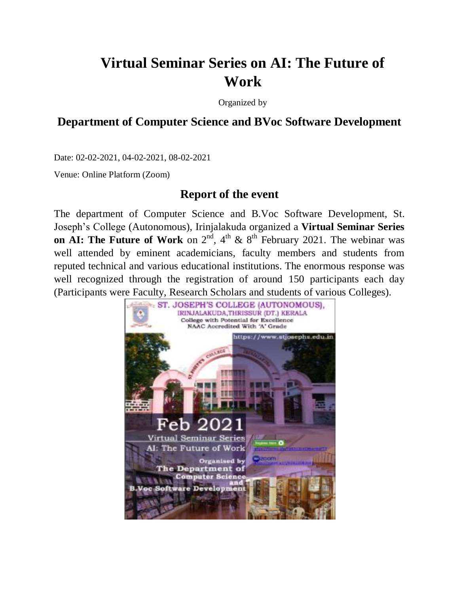# **Virtual Seminar Series on AI: The Future of Work**

Organized by

## **Department of Computer Science and BVoc Software Development**

Date: 02-02-2021, 04-02-2021, 08-02-2021

Venue: Online Platform (Zoom)

### **Report of the event**

The department of Computer Science and B.Voc Software Development, St. Joseph"s College (Autonomous), Irinjalakuda organized a **Virtual Seminar Series on AI: The Future of Work** on  $2^{nd}$ ,  $4^{th}$  &  $8^{th}$  February 2021. The webinar was well attended by eminent academicians, faculty members and students from reputed technical and various educational institutions. The enormous response was well recognized through the registration of around 150 participants each day (Participants were Faculty, Research Scholars and students of various Colleges).

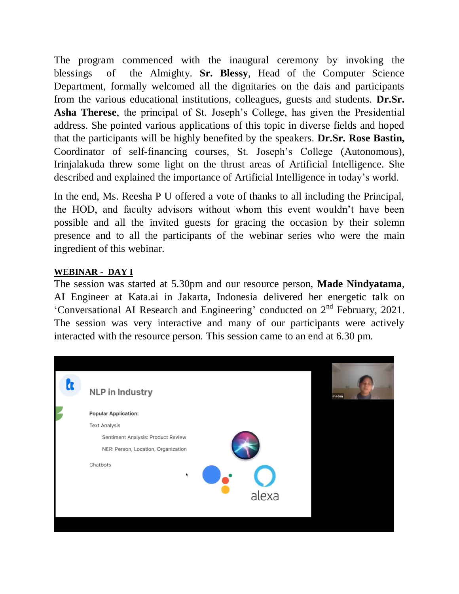The program commenced with the inaugural ceremony by invoking the blessings of the Almighty. **Sr. Blessy**, Head of the Computer Science Department, formally welcomed all the dignitaries on the dais and participants from the various educational institutions, colleagues, guests and students. **Dr.Sr.** Asha Therese, the principal of St. Joseph's College, has given the Presidential address. She pointed various applications of this topic in diverse fields and hoped that the participants will be highly benefited by the speakers. **Dr.Sr. Rose Bastin,** Coordinator of self-financing courses, St. Joseph"s College (Autonomous), Irinjalakuda threw some light on the thrust areas of Artificial Intelligence. She described and explained the importance of Artificial Intelligence in today"s world.

In the end, Ms. Reesha P U offered a vote of thanks to all including the Principal, the HOD, and faculty advisors without whom this event wouldn"t have been possible and all the invited guests for gracing the occasion by their solemn presence and to all the participants of the webinar series who were the main ingredient of this webinar.

### **WEBINAR - DAY I**

The session was started at 5.30pm and our resource person, **Made Nindyatama**, AI Engineer at Kata.ai in Jakarta, Indonesia delivered her energetic talk on 'Conversational AI Research and Engineering' conducted on  $2<sup>nd</sup>$  February, 2021. The session was very interactive and many of our participants were actively interacted with the resource person. This session came to an end at 6.30 pm.

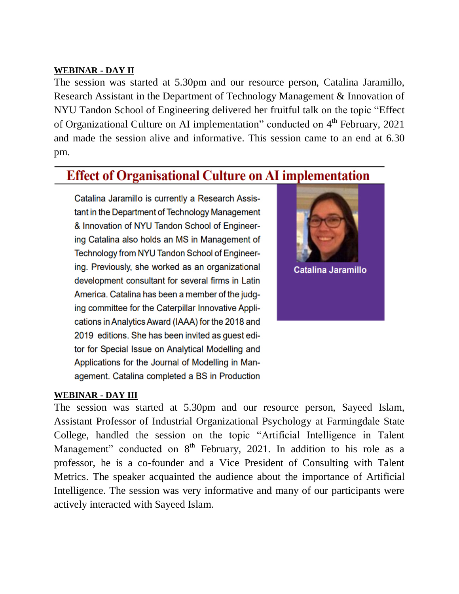#### **WEBINAR - DAY II**

The session was started at 5.30pm and our resource person, Catalina Jaramillo, Research Assistant in the Department of Technology Management & Innovation of NYU Tandon School of Engineering delivered her fruitful talk on the topic "Effect of Organizational Culture on AI implementation" conducted on 4<sup>th</sup> February, 2021 and made the session alive and informative. This session came to an end at 6.30 pm.

## **Effect of Organisational Culture on AI implementation**

Catalina Jaramillo is currently a Research Assistant in the Department of Technology Management & Innovation of NYU Tandon School of Engineering Catalina also holds an MS in Management of Technology from NYU Tandon School of Engineering. Previously, she worked as an organizational development consultant for several firms in Latin America. Catalina has been a member of the judging committee for the Caterpillar Innovative Applications in Analytics Award (IAAA) for the 2018 and 2019 editions. She has been invited as guest editor for Special Issue on Analytical Modelling and Applications for the Journal of Modelling in Management. Catalina completed a BS in Production



#### **WEBINAR - DAY III**

The session was started at 5.30pm and our resource person, Sayeed Islam, Assistant Professor of Industrial Organizational Psychology at Farmingdale State College, handled the session on the topic "Artificial Intelligence in Talent Management" conducted on 8<sup>th</sup> February, 2021. In addition to his role as a professor, he is a co-founder and a Vice President of Consulting with Talent Metrics. The speaker acquainted the audience about the importance of Artificial Intelligence. The session was very informative and many of our participants were actively interacted with Sayeed Islam.